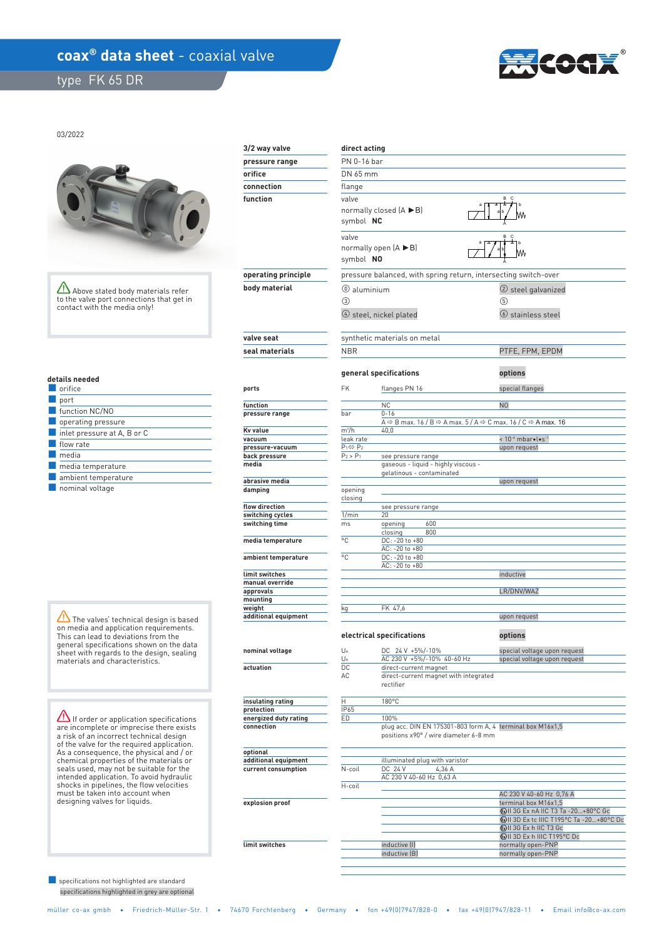## coax<sup>®</sup> data sheet - coaxial valve

type FK 65 DR



03/2022



Above stated body materials refer to the valve port connections that get in contact with the media only!

| uctails liccucu |                                            |  |  |  |  |
|-----------------|--------------------------------------------|--|--|--|--|
|                 | orifice                                    |  |  |  |  |
|                 | port                                       |  |  |  |  |
|                 | function NC/NO                             |  |  |  |  |
|                 | operating pressure                         |  |  |  |  |
|                 | $\blacksquare$ inlet pressure at A, B or C |  |  |  |  |
|                 | flow rate                                  |  |  |  |  |
|                 | media                                      |  |  |  |  |
|                 | media temperature                          |  |  |  |  |
|                 | ambient temperature                        |  |  |  |  |
|                 |                                            |  |  |  |  |

■ nominal voltage

 **details needed** 

The valves' technical design is based on media and application requirements. This can lead to deviations from the general specifications shown on the data sheet with regards to the design, sealing materials and characteristics.

If order or application specifications are incomplete or imprecise there exists a risk of an incorrect technical design of the valve for the required application. As a consequence, the physical and / or chemical properties of the materials or seals used, may not be suitable for the intended application. To avoid hydraulic shocks in pipelines, the flow velocities must be taken into account when designing valves for liquids.

 specifications highlighted in grey are optional ■ specifications not highlighted are standard

| 3/2 way valve                       | direct acting             |                                                                                                                                      |                                                                    |  |  |  |
|-------------------------------------|---------------------------|--------------------------------------------------------------------------------------------------------------------------------------|--------------------------------------------------------------------|--|--|--|
| pressure range                      | PN 0-16 bar               |                                                                                                                                      |                                                                    |  |  |  |
| orifice                             | DN 65 mm                  |                                                                                                                                      |                                                                    |  |  |  |
| connection                          | flange                    |                                                                                                                                      |                                                                    |  |  |  |
| function                            | valve                     |                                                                                                                                      | B C                                                                |  |  |  |
|                                     |                           | normally closed $(A \triangleright B)$<br>symbol NC                                                                                  |                                                                    |  |  |  |
|                                     | valve<br>symbol NO        | normally open $(A \triangleright B)$                                                                                                 | B C                                                                |  |  |  |
| operating principle                 |                           | pressure balanced, with spring return, intersecting switch-over                                                                      |                                                                    |  |  |  |
| body material                       | (0) aluminium             |                                                                                                                                      | (2) steel galvanized                                               |  |  |  |
|                                     | ③                         |                                                                                                                                      | 5                                                                  |  |  |  |
|                                     |                           | $\circ$ steel, nickel plated                                                                                                         | <b>(6)</b> stainless steel                                         |  |  |  |
| valve seat                          |                           | synthetic materials on metal                                                                                                         |                                                                    |  |  |  |
| seal materials                      | <b>NBR</b>                |                                                                                                                                      | PTFE, FPM, EPDM<br>options                                         |  |  |  |
|                                     |                           | general specifications                                                                                                               |                                                                    |  |  |  |
| ports                               | <b>FK</b>                 | flanges PN 16                                                                                                                        | special flanges                                                    |  |  |  |
| function                            |                           | <b>NC</b>                                                                                                                            | N <sub>O</sub>                                                     |  |  |  |
| pressure range                      | bar                       | $0 - 16$                                                                                                                             |                                                                    |  |  |  |
| Kv value                            | m <sup>3</sup> /h         | A $\Leftrightarrow$ B max. 16 / B $\Leftrightarrow$ A max. 5 / A $\Leftrightarrow$ C max. 16 / C $\Leftrightarrow$ A max. 16<br>40,0 |                                                                    |  |  |  |
| vacuum                              | leak rate                 |                                                                                                                                      | $< 10^{-4}$ mbar $\bullet$ l $\bullet$ s <sup>-1</sup>             |  |  |  |
| pressure-vacuum                     | $P_1 \Leftrightarrow P_2$ |                                                                                                                                      | upon request                                                       |  |  |  |
| back pressure                       | $P_2 > P_1$               | see pressure range                                                                                                                   |                                                                    |  |  |  |
| media                               |                           | gaseous - liquid - highly viscous -<br>gelatinous - contaminated                                                                     |                                                                    |  |  |  |
| abrasive media                      |                           |                                                                                                                                      | upon request                                                       |  |  |  |
| damping                             | opening                   |                                                                                                                                      |                                                                    |  |  |  |
| flow direction                      | closing                   | see pressure range                                                                                                                   |                                                                    |  |  |  |
| switching cycles                    | 1/min                     | 20                                                                                                                                   |                                                                    |  |  |  |
| switching time                      | ms                        | 600<br>opening                                                                                                                       |                                                                    |  |  |  |
| media temperature                   | °C                        | 800<br>closing<br>DC: -20 to +80                                                                                                     |                                                                    |  |  |  |
|                                     |                           | AC: -20 to +80                                                                                                                       |                                                                    |  |  |  |
| ambient temperature                 | °C                        | DC: -20 to +80<br>AC: -20 to +80                                                                                                     |                                                                    |  |  |  |
| limit switches                      |                           |                                                                                                                                      | inductive                                                          |  |  |  |
| manual override                     |                           |                                                                                                                                      |                                                                    |  |  |  |
| approvals                           |                           |                                                                                                                                      | LR/DNV/WAZ                                                         |  |  |  |
| mounting<br>weight                  | kg                        | FK 47.6                                                                                                                              |                                                                    |  |  |  |
| additional equipment                |                           |                                                                                                                                      | upon request                                                       |  |  |  |
|                                     |                           |                                                                                                                                      |                                                                    |  |  |  |
|                                     |                           | electrical specifications                                                                                                            | options                                                            |  |  |  |
| nominal voltage                     | $U_n$<br>$U_n$            | DC 24 V +5%/-10%<br>AC 230 V +5%/-10% 40-60 Hz                                                                                       | special voltage upon request<br>special voltage upon request       |  |  |  |
| actuation                           | DC.                       | direct-current magnet                                                                                                                |                                                                    |  |  |  |
|                                     | AC                        | direct-current magnet with integrated<br>rectifier                                                                                   |                                                                    |  |  |  |
| insulating rating                   | н                         | 180°C                                                                                                                                |                                                                    |  |  |  |
| protection<br>energized duty rating | IP65<br>ED                | 100%                                                                                                                                 |                                                                    |  |  |  |
| connection                          |                           | plug acc. DIN EN 175301-803 form A, 4 terminal box M16x1,5<br>positions x90° / wire diameter 6-8 mm                                  |                                                                    |  |  |  |
| optional<br>additional equipment    |                           | illuminated plug with varistor                                                                                                       |                                                                    |  |  |  |
| current consumption                 | N-coil                    | DC 24 V<br>4.36 A                                                                                                                    |                                                                    |  |  |  |
|                                     |                           | AC 230 V 40-60 Hz 0,63 A                                                                                                             |                                                                    |  |  |  |
|                                     | H-coil                    |                                                                                                                                      | AC 230 V 40-60 Hz 0,76 A                                           |  |  |  |
| explosion proof                     |                           |                                                                                                                                      | terminal box M16x1,5                                               |  |  |  |
|                                     |                           |                                                                                                                                      | ⓒII 3G Ex nA IIC T3 Ta -20+80°C Gc                                 |  |  |  |
|                                     |                           |                                                                                                                                      | 49 II 3D Ex tc IIIC T195°C Ta -20+80°C Dc<br>ⓒII 3G Ex h IIC T3 Gc |  |  |  |
|                                     |                           |                                                                                                                                      | <b>۞II 3D Ex h IIIC T195°C Dc</b>                                  |  |  |  |
| limit switches                      |                           | inductive (I)<br>inductive (B)                                                                                                       | normally open-PNP<br>normally open-PNP                             |  |  |  |
|                                     |                           |                                                                                                                                      |                                                                    |  |  |  |
|                                     |                           |                                                                                                                                      |                                                                    |  |  |  |